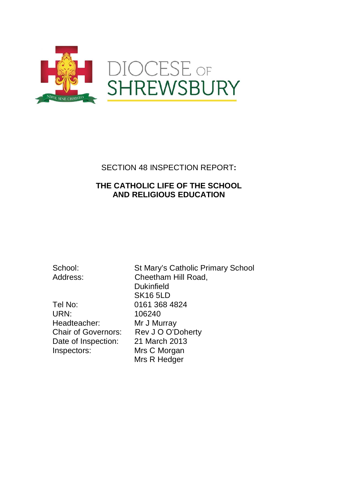

## SECTION 48 INSPECTION REPORT**:**

## **THE CATHOLIC LIFE OF THE SCHOOL AND RELIGIOUS EDUCATION**

Tel No: 0161 368 4824 URN: 106240 Headteacher: Mr J Murray Chair of Governors: Rev J O O'Doherty<br>Date of Inspection: 21 March 2013 Date of Inspection: Inspectors: Mrs C Morgan

School: St Mary's Catholic Primary School Address: Cheetham Hill Road, **Dukinfield** SK16 5LD Mrs R Hedger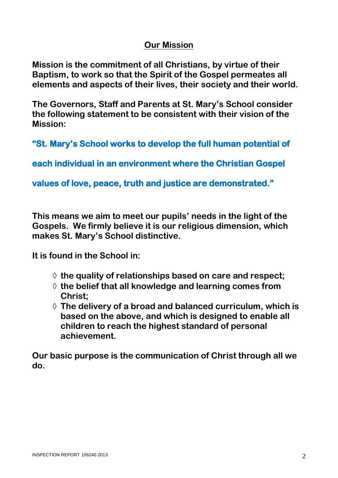# **Our Mission**

**Mission is the commitment of all Christians, by virtue of their Baptism, to work so that the Spirit of the Gospel permeates all elements and aspects of their lives, their society and their world.** 

**The Governors, Staff and Parents at St. Mary's School consider the following statement to be consistent with their vision of the Mission:**

**"St. Mary's School works to develop the full human potential of** 

**each individual in an environment where the Christian Gospel** 

**values of love, peace, truth and justice are demonstrated."** 

**This means we aim to meet our pupils' needs in the light of the Gospels. We firmly believe it is our religious dimension, which makes St. Mary's School distinctive.**

**It is found in the School in:**

- ◊ **the quality of relationships based on care and respect;**
- ◊ **the belief that all knowledge and learning comes from Christ;**
- ◊ **The delivery of a broad and balanced curriculum, which is based on the above, and which is designed to enable all children to reach the highest standard of personal achievement.**

**Our basic purpose is the communication of Christ through all we do.**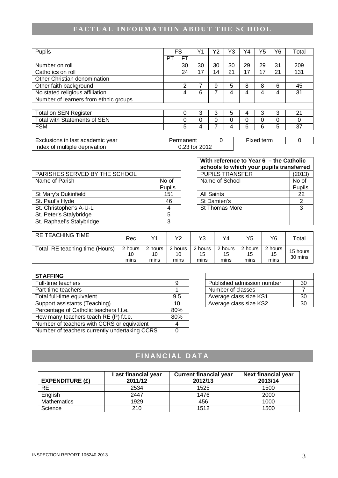# **FACTUAL INFORMATION ABOUT THE SCHOOL**

| Pupils                                |    | <b>FS</b> |    | Υ2 | Y3 | Y4 | Y5 | Υ6 | Total |
|---------------------------------------|----|-----------|----|----|----|----|----|----|-------|
|                                       | PT | <b>FT</b> |    |    |    |    |    |    |       |
| Number on roll                        |    | 30        | 30 | 30 | 30 | 29 | 29 | 31 | 209   |
| Catholics on roll                     |    | 24        | 17 | 14 | 21 | 17 | 17 | 21 | 131   |
| Other Christian denomination          |    |           |    |    |    |    |    |    |       |
| Other faith background                |    | 2         |    | 9  | 5  | 8  | 8  | 6  | 45    |
| No stated religious affiliation       |    | 4         | 6  |    | 4  |    | 4  | 4  | 31    |
| Number of learners from ethnic groups |    |           |    |    |    |    |    |    |       |
|                                       |    |           |    |    |    |    |    |    |       |
| <b>Total on SEN Register</b>          |    | 0         | 3  | 3  | 5  |    | 3  | 3  | 21    |
| Total with Statements of SEN          |    | 0         | O  | ი  | ი  | ი  | 0  | 0  | 0     |
| <b>FSM</b>                            |    | 5         | 4  |    | 4  | 6  | 6  | 5  | 37    |
|                                       |    |           |    |    |    |    |    |    |       |

| . academic vear<br>clusions in<br>⊢v∩l<br>last<br>ᆮᆺ | Permanent                  | --<br>term<br>∙ıxed |  |
|------------------------------------------------------|----------------------------|---------------------|--|
| Index<br>of multiple deprivation                     | 2012<br>nn.<br>tor<br>∪.∠∪ |                     |  |

|                               |        | <b>SCHOOLS to WHICH YOUL DUDIES transierred</b> |        |
|-------------------------------|--------|-------------------------------------------------|--------|
| PARISHES SERVED BY THE SCHOOL |        | <b>PUPILS TRANSFER</b>                          | (2013) |
| Name of Parish                | No of  | Name of School                                  | No of  |
|                               | Pupils |                                                 | Pupils |
| St Mary's Dukinfield          | 151    | <b>All Saints</b>                               | 22     |
| St. Paul's Hyde               | 46     | St Damien's                                     | ◠      |
| St. Christopher's A-U-L       |        | <b>St Thomas More</b>                           | ົ      |
| St. Peter's Stalybridge       |        |                                                 |        |
| St. Raphael's Stalybridge     |        |                                                 |        |

| With reference to Year 6 - the Catholic  |        |  |  |  |
|------------------------------------------|--------|--|--|--|
| schools to which your pupils transferred |        |  |  |  |
| <b>PUPILS TRANSFER</b>                   | (2013) |  |  |  |
| Name of School                           | No of  |  |  |  |
|                                          | Pupils |  |  |  |
| <b>All Saints</b>                        | 22     |  |  |  |
| St Damien's                              | 2      |  |  |  |
| St Thomas More                           | 3      |  |  |  |
|                                          |        |  |  |  |
|                                          |        |  |  |  |

| <b>RE TEACHING TIME</b>        | Rec                   | V1                    | Y2                    | Y3.                   | Y4                    | Y5                    | Y6.                   | $\tau$ <sub>otal</sub> |
|--------------------------------|-----------------------|-----------------------|-----------------------|-----------------------|-----------------------|-----------------------|-----------------------|------------------------|
| Total RE teaching time (Hours) | 2 hours<br>10<br>mins | 2 hours<br>10<br>mins | 2 hours<br>10<br>mins | 2 hours<br>15<br>mins | 2 hours<br>15<br>mins | 2 hours<br>15<br>mins | 2 hours<br>15<br>mins | 15 hours<br>30 mins    |

| <b>STAFFING</b>                               |     |                            |    |
|-----------------------------------------------|-----|----------------------------|----|
| Full-time teachers                            |     | Published admission number | 30 |
| Part-time teachers                            |     | Number of classes          | 7  |
| Total full-time equivalent                    | 9.5 | Average class size KS1     | 30 |
| Support assistants (Teaching)                 | 10  | Average class size KS2     | 30 |
| Percentage of Catholic teachers f.t.e.        | 80% |                            |    |
| How many teachers teach RE (P) f.t.e.         | 80% |                            |    |
| Number of teachers with CCRS or equivalent    |     |                            |    |
| Number of teachers currently undertaking CCRS |     |                            |    |

| Published admission number | 30 |
|----------------------------|----|
| Number of classes          |    |
| Average class size KS1     | 30 |
| Average class size KS2     | ۹Λ |

# **FINANCIAL DATA**

| EXPENDITURE $(E)$  | Last financial year<br>2011/12 | <b>Current financial year</b><br>2012/13 | Next financial year<br>2013/14 |
|--------------------|--------------------------------|------------------------------------------|--------------------------------|
| <b>RE</b>          | 2534                           | 1525                                     | 1500                           |
| English            | 2447                           | 1476                                     | 2000                           |
| <b>Mathematics</b> | 1929                           | 456                                      | 1000                           |
| Science            | 210                            | 1512                                     | 1500                           |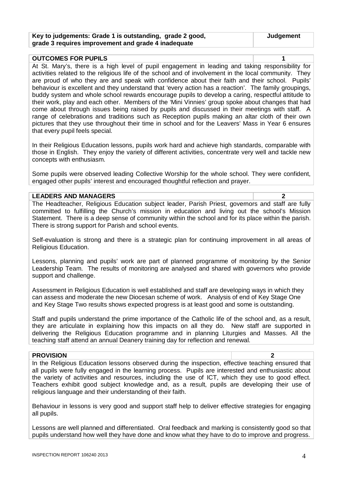| Key to judgements: Grade 1 is outstanding, grade 2 good, | Judgement |
|----------------------------------------------------------|-----------|
| grade 3 requires improvement and grade 4 inadequate      |           |

| <b>OUTCOMES FOR PUPILS</b>                                                                             |  |
|--------------------------------------------------------------------------------------------------------|--|
| At St. Mary's, there is a high level of pupil engagement in leading and taking responsibility for      |  |
| activities related to the religious life of the school and of involvement in the local community. They |  |
| are proud of who they are and speak with confidence about their faith and their school. Pupils'        |  |
| behaviour is excellent and they understand that 'every action has a reaction'. The family groupings,   |  |
| buddy system and whole school rewards encourage pupils to develop a caring, respectful attitude to     |  |
| their work, play and each other. Members of the 'Mini Vinnies' group spoke about changes that had      |  |
| come about through issues being raised by pupils and discussed in their meetings with staff. A         |  |
| range of celebrations and traditions such as Reception pupils making an altar cloth of their own       |  |
| pictures that they use throughout their time in school and for the Leavers' Mass in Year 6 ensures     |  |
| that every pupil feels special.                                                                        |  |

In their Religious Education lessons, pupils work hard and achieve high standards, comparable with those in English. They enjoy the variety of different activities, concentrate very well and tackle new concepts with enthusiasm.

Some pupils were observed leading Collective Worship for the whole school. They were confident, engaged other pupils' interest and encouraged thoughtful reflection and prayer.

#### **LEADERS AND MANAGERS 2**

The Headteacher, Religious Education subject leader, Parish Priest, governors and staff are fully committed to fulfilling the Church's mission in education and living out the school's Mission Statement. There is a deep sense of community within the school and for its place within the parish. There is strong support for Parish and school events.

Self-evaluation is strong and there is a strategic plan for continuing improvement in all areas of Religious Education.

Lessons, planning and pupils' work are part of planned programme of monitoring by the Senior Leadership Team. The results of monitoring are analysed and shared with governors who provide support and challenge.

Assessment in Religious Education is well established and staff are developing ways in which they can assess and moderate the new Diocesan scheme of work. Analysis of end of Key Stage One and Key Stage Two results shows expected progress is at least good and some is outstanding.

Staff and pupils understand the prime importance of the Catholic life of the school and, as a result, they are articulate in explaining how this impacts on all they do. New staff are supported in delivering the Religious Education programme and in planning Liturgies and Masses. All the teaching staff attend an annual Deanery training day for reflection and renewal.

#### **PROVISION 2**

In the Religious Education lessons observed during the inspection, effective teaching ensured that all pupils were fully engaged in the learning process. Pupils are interested and enthusiastic about the variety of activities and resources, including the use of ICT, which they use to good effect. Teachers exhibit good subject knowledge and, as a result, pupils are developing their use of religious language and their understanding of their faith.

Behaviour in lessons is very good and support staff help to deliver effective strategies for engaging all pupils.

Lessons are well planned and differentiated. Oral feedback and marking is consistently good so that pupils understand how well they have done and know what they have to do to improve and progress.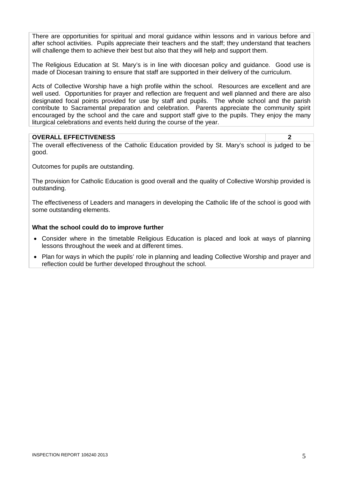There are opportunities for spiritual and moral guidance within lessons and in various before and after school activities. Pupils appreciate their teachers and the staff; they understand that teachers will challenge them to achieve their best but also that they will help and support them.

The Religious Education at St. Mary's is in line with diocesan policy and guidance. Good use is made of Diocesan training to ensure that staff are supported in their delivery of the curriculum.

Acts of Collective Worship have a high profile within the school. Resources are excellent and are well used. Opportunities for prayer and reflection are frequent and well planned and there are also designated focal points provided for use by staff and pupils. The whole school and the parish contribute to Sacramental preparation and celebration. Parents appreciate the community spirit encouraged by the school and the care and support staff give to the pupils. They enjoy the many liturgical celebrations and events held during the course of the year.

#### **OVERALL EFFECTIVENESS 2**

The overall effectiveness of the Catholic Education provided by St. Mary's school is judged to be good.

Outcomes for pupils are outstanding.

The provision for Catholic Education is good overall and the quality of Collective Worship provided is outstanding.

The effectiveness of Leaders and managers in developing the Catholic life of the school is good with some outstanding elements.

#### **What the school could do to improve further**

- Consider where in the timetable Religious Education is placed and look at ways of planning lessons throughout the week and at different times.
- Plan for ways in which the pupils' role in planning and leading Collective Worship and prayer and reflection could be further developed throughout the school.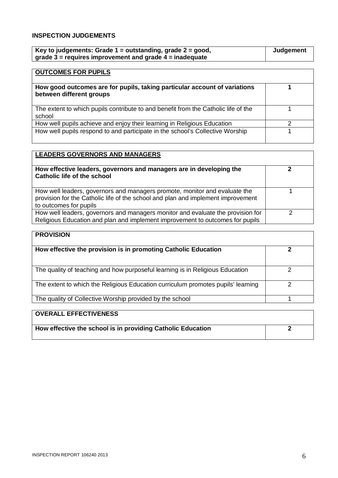## **INSPECTION JUDGEMENTS**

| Key to judgements: Grade $1 =$ outstanding, grade $2 =$ good, | Judgement |
|---------------------------------------------------------------|-----------|
| grade $3$ = requires improvement and grade $4$ = inadequate   |           |

## **OUTCOMES FOR PUPILS**

| How good outcomes are for pupils, taking particular account of variations<br>between different groups |  |
|-------------------------------------------------------------------------------------------------------|--|
| The extent to which pupils contribute to and benefit from the Catholic life of the<br>school          |  |
| How well pupils achieve and enjoy their learning in Religious Education                               |  |
| How well pupils respond to and participate in the school's Collective Worship                         |  |

| <b>LEADERS GOVERNORS AND MANAGERS</b>                                                                                                                                                    |   |
|------------------------------------------------------------------------------------------------------------------------------------------------------------------------------------------|---|
| How effective leaders, governors and managers are in developing the<br><b>Catholic life of the school</b>                                                                                |   |
| How well leaders, governors and managers promote, monitor and evaluate the<br>provision for the Catholic life of the school and plan and implement improvement<br>to outcomes for pupils |   |
| How well leaders, governors and managers monitor and evaluate the provision for<br>Religious Education and plan and implement improvement to outcomes for pupils                         | റ |

| <b>PROVISION</b>                                                                 |   |
|----------------------------------------------------------------------------------|---|
| How effective the provision is in promoting Catholic Education                   |   |
| The quality of teaching and how purposeful learning is in Religious Education    | っ |
| The extent to which the Religious Education curriculum promotes pupils' learning |   |
| The quality of Collective Worship provided by the school                         |   |
| EFFECTIVENESS<br><b>OVERALL</b>                                                  |   |

| I UVERALL EFFECTIVENESS                                     |  |
|-------------------------------------------------------------|--|
| How effective the school is in providing Catholic Education |  |
|                                                             |  |